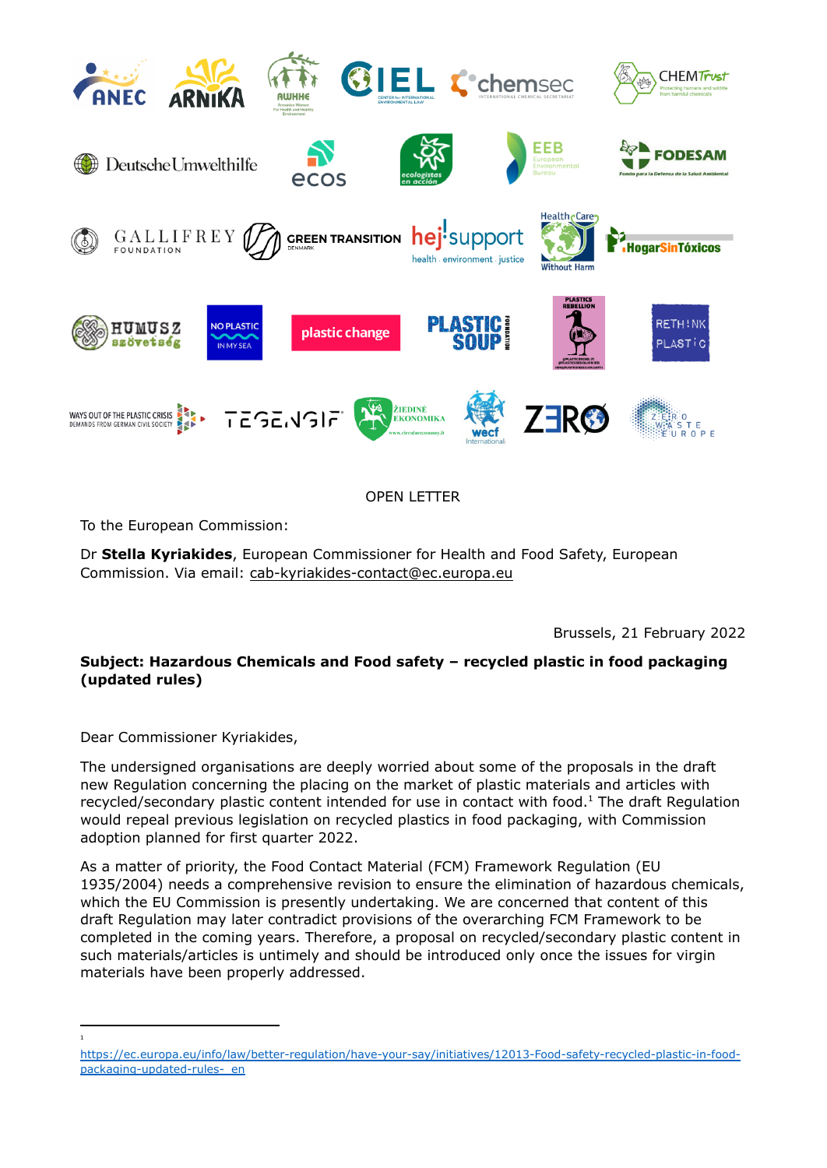

OPEN LETTER

To the European Commission:

Dr **Stella Kyriakides**, European Commissioner for Health and Food Safety, European Commission. Via email: [cab-kyriakides-contact@ec.europa.eu](mailto:cab-kyriakides-contact@ec.europa.eu)

Brussels, 21 February 2022

## **Subject: Hazardous Chemicals and Food safety – recycled plastic in food packaging (updated rules)**

Dear Commissioner Kyriakides,

1

The undersigned organisations are deeply worried about some of the proposals in the draft new Regulation concerning the placing on the market of plastic materials and articles with recycled/secondary plastic content intended for use in contact with food. $<sup>1</sup>$  The draft Regulation</sup> would repeal previous legislation on recycled plastics in food packaging, with Commission adoption planned for first quarter 2022.

As a matter of priority, the Food Contact Material (FCM) Framework Regulation (EU 1935/2004) needs a comprehensive revision to ensure the elimination of hazardous chemicals, which the EU Commission is presently undertaking. We are concerned that content of this draft Regulation may later contradict provisions of the overarching FCM Framework to be completed in the coming years. Therefore, a proposal on recycled/secondary plastic content in such materials/articles is untimely and should be introduced only once the issues for virgin materials have been properly addressed.

[https://ec.europa.eu/info/law/better-regulation/have-your-say/initiatives/12013-Food-safety-recycled-plastic-in-food](https://ec.europa.eu/info/law/better-regulation/have-your-say/initiatives/12013-Food-safety-recycled-plastic-in-food-packaging-updated-rules-_en)packaging-updated-rules- en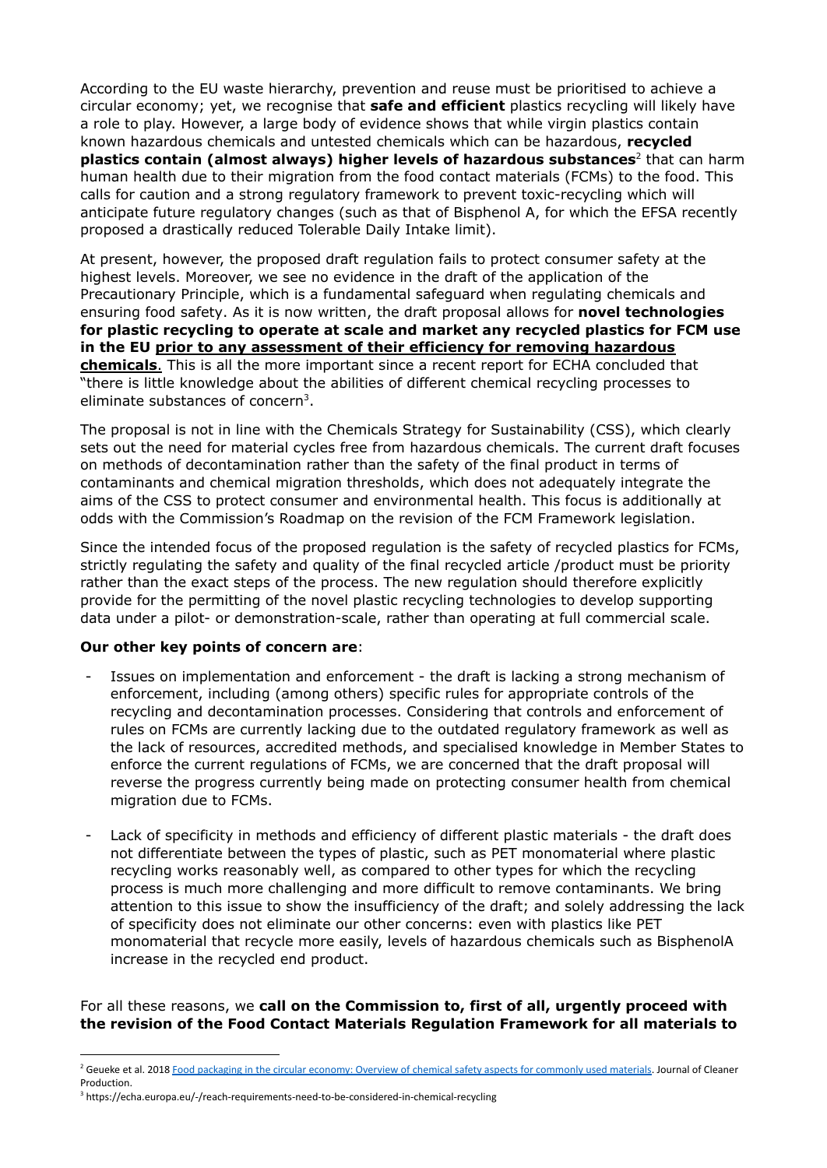According to the EU waste hierarchy, prevention and reuse must be prioritised to achieve a circular economy; yet, we recognise that **safe and efficient** plastics recycling will likely have a role to play. However, a large body of evidence shows that while virgin plastics contain known hazardous chemicals and untested chemicals which can be hazardous, **recycled plastics contain (almost always) higher levels of hazardous substances** 2 that can harm human health due to their migration from the food contact materials (FCMs) to the food. This calls for caution and a strong regulatory framework to prevent toxic-recycling which will anticipate future regulatory changes (such as that of Bisphenol A, for which the EFSA recently proposed a drastically reduced Tolerable Daily Intake limit).

At present, however, the proposed draft regulation fails to protect consumer safety at the highest levels. Moreover, we see no evidence in the draft of the application of the Precautionary Principle, which is a fundamental safeguard when regulating chemicals and ensuring food safety. As it is now written, the draft proposal allows for **novel technologies for plastic recycling to operate at scale and market any recycled plastics for FCM use in the EU prior to any assessment of their efficiency for removing hazardous chemicals**. This is all the more important since a recent report for ECHA concluded that "there is little knowledge about the abilities of different chemical recycling processes to eliminate substances of concern<sup>3</sup>.

The proposal is not in line with the Chemicals Strategy for Sustainability (CSS), which clearly sets out the need for material cycles free from hazardous chemicals. The current draft focuses on methods of decontamination rather than the safety of the final product in terms of contaminants and chemical migration thresholds, which does not adequately integrate the aims of the CSS to protect consumer and environmental health. This focus is additionally at odds with the Commission's Roadmap on the revision of the FCM Framework legislation.

Since the intended focus of the proposed regulation is the safety of recycled plastics for FCMs, strictly regulating the safety and quality of the final recycled article /product must be priority rather than the exact steps of the process. The new regulation should therefore explicitly provide for the permitting of the novel plastic recycling technologies to develop supporting data under a pilot- or demonstration-scale, rather than operating at full commercial scale.

## **Our other key points of concern are**:

- Issues on implementation and enforcement the draft is lacking a strong mechanism of enforcement, including (among others) specific rules for appropriate controls of the recycling and decontamination processes. Considering that controls and enforcement of rules on FCMs are currently lacking due to the outdated regulatory framework as well as the lack of resources, accredited methods, and specialised knowledge in Member States to enforce the current regulations of FCMs, we are concerned that the draft proposal will reverse the progress currently being made on protecting consumer health from chemical migration due to FCMs.
- Lack of specificity in methods and efficiency of different plastic materials the draft does not differentiate between the types of plastic, such as PET monomaterial where plastic recycling works reasonably well, as compared to other types for which the recycling process is much more challenging and more difficult to remove contaminants. We bring attention to this issue to show the insufficiency of the draft; and solely addressing the lack of specificity does not eliminate our other concerns: even with plastics like PET monomaterial that recycle more easily, levels of hazardous chemicals such as BisphenolA increase in the recycled end product.

For all these reasons, we **call on the Commission to, first of all, urgently proceed with the revision of the Food Contact Materials Regulation Framework for all materials to**

<sup>&</sup>lt;sup>2</sup> Geueke et al. 2018 Food packaging in the circular economy: Overview of chemical safety aspects for [commonly](https://www.sciencedirect.com/science/article/pii/S0959652618313325?via%3Dihub#!) used materials. Journal of Cleaner Production.

<sup>&</sup>lt;sup>3</sup> <https://echa.europa.eu/-/reach-requirements-need-to-be-considered-in-chemical-recycling>